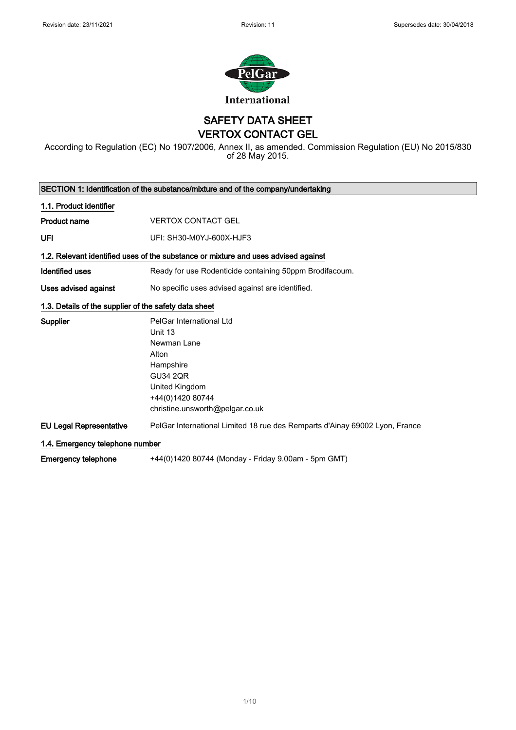

SAFETY DATA SHEET VERTOX CONTACT GEL

According to Regulation (EC) No 1907/2006, Annex II, as amended. Commission Regulation (EU) No 2015/830 of 28 May 2015.

| SECTION 1: Identification of the substance/mixture and of the company/undertaking |                                                                                                                                                                      |  |
|-----------------------------------------------------------------------------------|----------------------------------------------------------------------------------------------------------------------------------------------------------------------|--|
| 1.1. Product identifier                                                           |                                                                                                                                                                      |  |
| <b>Product name</b>                                                               | <b>VERTOX CONTACT GEL</b>                                                                                                                                            |  |
| UFI                                                                               | UFI: SH30-M0YJ-600X-HJF3                                                                                                                                             |  |
|                                                                                   | 1.2. Relevant identified uses of the substance or mixture and uses advised against                                                                                   |  |
| <b>Identified uses</b>                                                            | Ready for use Rodenticide containing 50ppm Brodifacoum.                                                                                                              |  |
| Uses advised against                                                              | No specific uses advised against are identified.                                                                                                                     |  |
| 1.3. Details of the supplier of the safety data sheet                             |                                                                                                                                                                      |  |
| <b>Supplier</b>                                                                   | PelGar International Ltd<br>Unit 13<br>Newman Lane<br>Alton<br>Hampshire<br><b>GU34 2QR</b><br>United Kingdom<br>+44(0)1420 80744<br>christine.unsworth@pelgar.co.uk |  |
| <b>EU Legal Representative</b>                                                    | PelGar International Limited 18 rue des Remparts d'Ainay 69002 Lyon, France                                                                                          |  |
| 1.4. Emergency telephone number                                                   |                                                                                                                                                                      |  |
| Emergency telephone                                                               | +44(0)1420 80744 (Monday - Friday 9.00am - 5pm GMT)                                                                                                                  |  |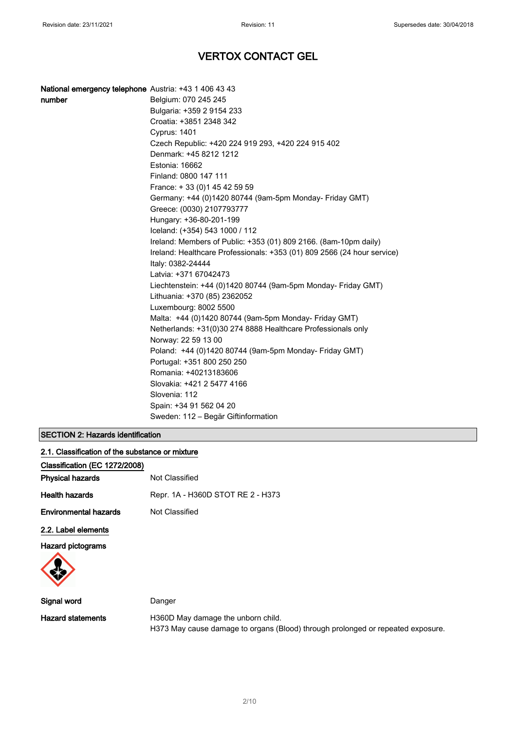| National emergency telephone Austria: +43 1 406 43 43<br>number<br>Belgium: 070 245 245<br>Bulgaria: +359 2 9154 233<br>Croatia: +3851 2348 342<br><b>Cyprus: 1401</b><br>Czech Republic: +420 224 919 293, +420 224 915 402<br>Denmark: +45 8212 1212<br>Estonia: 16662<br>Finland: 0800 147 111<br>France: +33 (0) 145 42 59 59<br>Germany: +44 (0)1420 80744 (9am-5pm Monday- Friday GMT)<br>Greece: (0030) 2107793777<br>Hungary: +36-80-201-199<br>Iceland: (+354) 543 1000 / 112<br>Ireland: Members of Public: +353 (01) 809 2166. (8am-10pm daily)<br>Ireland: Healthcare Professionals: +353 (01) 809 2566 (24 hour service)<br>Italy: 0382-24444 |
|------------------------------------------------------------------------------------------------------------------------------------------------------------------------------------------------------------------------------------------------------------------------------------------------------------------------------------------------------------------------------------------------------------------------------------------------------------------------------------------------------------------------------------------------------------------------------------------------------------------------------------------------------------|
|                                                                                                                                                                                                                                                                                                                                                                                                                                                                                                                                                                                                                                                            |
|                                                                                                                                                                                                                                                                                                                                                                                                                                                                                                                                                                                                                                                            |
|                                                                                                                                                                                                                                                                                                                                                                                                                                                                                                                                                                                                                                                            |
|                                                                                                                                                                                                                                                                                                                                                                                                                                                                                                                                                                                                                                                            |
|                                                                                                                                                                                                                                                                                                                                                                                                                                                                                                                                                                                                                                                            |
|                                                                                                                                                                                                                                                                                                                                                                                                                                                                                                                                                                                                                                                            |
|                                                                                                                                                                                                                                                                                                                                                                                                                                                                                                                                                                                                                                                            |
|                                                                                                                                                                                                                                                                                                                                                                                                                                                                                                                                                                                                                                                            |
|                                                                                                                                                                                                                                                                                                                                                                                                                                                                                                                                                                                                                                                            |
|                                                                                                                                                                                                                                                                                                                                                                                                                                                                                                                                                                                                                                                            |
|                                                                                                                                                                                                                                                                                                                                                                                                                                                                                                                                                                                                                                                            |
|                                                                                                                                                                                                                                                                                                                                                                                                                                                                                                                                                                                                                                                            |
|                                                                                                                                                                                                                                                                                                                                                                                                                                                                                                                                                                                                                                                            |
|                                                                                                                                                                                                                                                                                                                                                                                                                                                                                                                                                                                                                                                            |
|                                                                                                                                                                                                                                                                                                                                                                                                                                                                                                                                                                                                                                                            |
|                                                                                                                                                                                                                                                                                                                                                                                                                                                                                                                                                                                                                                                            |
|                                                                                                                                                                                                                                                                                                                                                                                                                                                                                                                                                                                                                                                            |
| Latvia: +371 67042473                                                                                                                                                                                                                                                                                                                                                                                                                                                                                                                                                                                                                                      |
| Liechtenstein: +44 (0)1420 80744 (9am-5pm Monday- Friday GMT)                                                                                                                                                                                                                                                                                                                                                                                                                                                                                                                                                                                              |
| Lithuania: +370 (85) 2362052                                                                                                                                                                                                                                                                                                                                                                                                                                                                                                                                                                                                                               |
| Luxembourg: 8002 5500                                                                                                                                                                                                                                                                                                                                                                                                                                                                                                                                                                                                                                      |
| Malta: +44 (0)1420 80744 (9am-5pm Monday- Friday GMT)                                                                                                                                                                                                                                                                                                                                                                                                                                                                                                                                                                                                      |
| Netherlands: +31(0)30 274 8888 Healthcare Professionals only                                                                                                                                                                                                                                                                                                                                                                                                                                                                                                                                                                                               |
| Norway: 22 59 13 00                                                                                                                                                                                                                                                                                                                                                                                                                                                                                                                                                                                                                                        |
| Poland: +44 (0)1420 80744 (9am-5pm Monday- Friday GMT)                                                                                                                                                                                                                                                                                                                                                                                                                                                                                                                                                                                                     |
| Portugal: +351 800 250 250                                                                                                                                                                                                                                                                                                                                                                                                                                                                                                                                                                                                                                 |
| Romania: +40213183606                                                                                                                                                                                                                                                                                                                                                                                                                                                                                                                                                                                                                                      |
| Slovakia: +421 2 5477 4166                                                                                                                                                                                                                                                                                                                                                                                                                                                                                                                                                                                                                                 |
| Slovenia: 112                                                                                                                                                                                                                                                                                                                                                                                                                                                                                                                                                                                                                                              |
| Spain: +34 91 562 04 20                                                                                                                                                                                                                                                                                                                                                                                                                                                                                                                                                                                                                                    |
| Sweden: 112 - Begär Giftinformation                                                                                                                                                                                                                                                                                                                                                                                                                                                                                                                                                                                                                        |

## SECTION 2: Hazards identification

| 2.1. Classification of the substance or mixture |                                   |  |
|-------------------------------------------------|-----------------------------------|--|
| Classification (EC 1272/2008)                   |                                   |  |
| Physical hazards                                | Not Classified                    |  |
| Health hazards                                  | Repr. 1A - H360D STOT RE 2 - H373 |  |
| Environmental hazards                           | Not Classified                    |  |
| 2.2. Label elements                             |                                   |  |
| <b>Hazard pictograms</b>                        |                                   |  |
|                                                 |                                   |  |

| Signal word       | Danger                                                                          |
|-------------------|---------------------------------------------------------------------------------|
| Hazard statements | H360D May damage the unborn child.                                              |
|                   | H373 May cause damage to organs (Blood) through prolonged or repeated exposure. |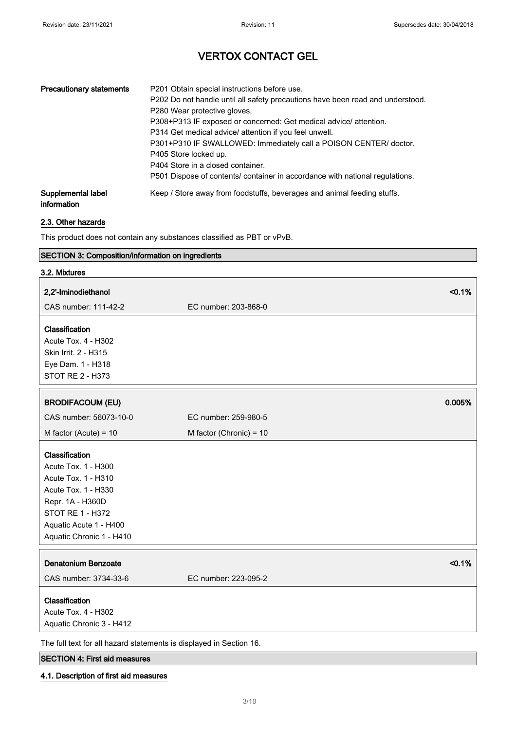| <b>Precautionary statements</b>   | P201 Obtain special instructions before use.<br>P202 Do not handle until all safety precautions have been read and understood.<br>P280 Wear protective gloves.<br>P308+P313 IF exposed or concerned: Get medical advice/ attention.<br>P314 Get medical advice/ attention if you feel unwell.<br>P301+P310 IF SWALLOWED: Immediately call a POISON CENTER/ doctor.<br>P405 Store locked up.<br>P404 Store in a closed container.<br>P501 Dispose of contents/ container in accordance with national regulations. |
|-----------------------------------|------------------------------------------------------------------------------------------------------------------------------------------------------------------------------------------------------------------------------------------------------------------------------------------------------------------------------------------------------------------------------------------------------------------------------------------------------------------------------------------------------------------|
| Supplemental label<br>information | Keep / Store away from foodstuffs, beverages and animal feeding stuffs.                                                                                                                                                                                                                                                                                                                                                                                                                                          |

## 2.3. Other hazards

This product does not contain any substances classified as PBT or vPvB.

## SECTION 3: Composition/information on ingredients

| 3.2. Mixtures                                                                                                                                                                            |                                |
|------------------------------------------------------------------------------------------------------------------------------------------------------------------------------------------|--------------------------------|
| 2,2'-Iminodiethanol                                                                                                                                                                      | < 0.1%                         |
| CAS number: 111-42-2                                                                                                                                                                     | EC number: 203-868-0           |
| Classification<br>Acute Tox. 4 - H302<br>Skin Irrit. 2 - H315<br>Eye Dam. 1 - H318<br>STOT RE 2 - H373                                                                                   |                                |
| <b>BRODIFACOUM (EU)</b>                                                                                                                                                                  | 0.005%                         |
| CAS number: 56073-10-0                                                                                                                                                                   | EC number: 259-980-5           |
| M factor (Acute) = $10$                                                                                                                                                                  | M factor (Chronic) = 10        |
| Classification<br>Acute Tox. 1 - H300<br>Acute Tox. 1 - H310<br>Acute Tox. 1 - H330<br>Repr. 1A - H360D<br><b>STOT RE 1 - H372</b><br>Aquatic Acute 1 - H400<br>Aquatic Chronic 1 - H410 |                                |
| <b>Denatonium Benzoate</b><br>CAS number: 3734-33-6                                                                                                                                      | < 0.1%<br>EC number: 223-095-2 |
| Classification<br>Acute Tox. 4 - H302<br>Aquatic Chronic 3 - H412                                                                                                                        |                                |
| The full text for all hazard statements is displayed in Section 16.                                                                                                                      |                                |

## SECTION 4: First aid measures

## 4.1. Description of first aid measures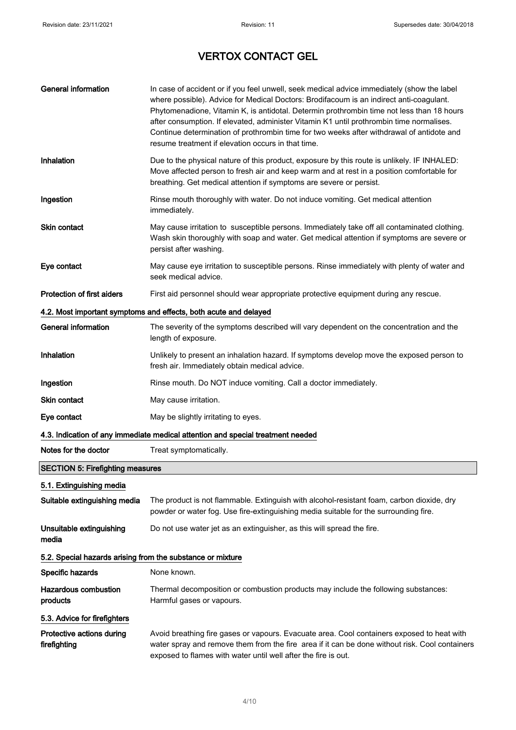| <b>General information</b>                                       | In case of accident or if you feel unwell, seek medical advice immediately (show the label<br>where possible). Advice for Medical Doctors: Brodifacoum is an indirect anti-coagulant.<br>Phytomenadione, Vitamin K, is antidotal. Determin prothrombin time not less than 18 hours<br>after consumption. If elevated, administer Vitamin K1 until prothrombin time normalises.<br>Continue determination of prothrombin time for two weeks after withdrawal of antidote and<br>resume treatment if elevation occurs in that time. |  |
|------------------------------------------------------------------|-----------------------------------------------------------------------------------------------------------------------------------------------------------------------------------------------------------------------------------------------------------------------------------------------------------------------------------------------------------------------------------------------------------------------------------------------------------------------------------------------------------------------------------|--|
| Inhalation                                                       | Due to the physical nature of this product, exposure by this route is unlikely. IF INHALED:<br>Move affected person to fresh air and keep warm and at rest in a position comfortable for<br>breathing. Get medical attention if symptoms are severe or persist.                                                                                                                                                                                                                                                                   |  |
| Ingestion                                                        | Rinse mouth thoroughly with water. Do not induce vomiting. Get medical attention<br>immediately.                                                                                                                                                                                                                                                                                                                                                                                                                                  |  |
| <b>Skin contact</b>                                              | May cause irritation to susceptible persons. Immediately take off all contaminated clothing.<br>Wash skin thoroughly with soap and water. Get medical attention if symptoms are severe or<br>persist after washing.                                                                                                                                                                                                                                                                                                               |  |
| Eye contact                                                      | May cause eye irritation to susceptible persons. Rinse immediately with plenty of water and<br>seek medical advice.                                                                                                                                                                                                                                                                                                                                                                                                               |  |
| <b>Protection of first aiders</b>                                | First aid personnel should wear appropriate protective equipment during any rescue.                                                                                                                                                                                                                                                                                                                                                                                                                                               |  |
| 4.2. Most important symptoms and effects, both acute and delayed |                                                                                                                                                                                                                                                                                                                                                                                                                                                                                                                                   |  |
| General information                                              | The severity of the symptoms described will vary dependent on the concentration and the<br>length of exposure.                                                                                                                                                                                                                                                                                                                                                                                                                    |  |
| Inhalation                                                       | Unlikely to present an inhalation hazard. If symptoms develop move the exposed person to<br>fresh air. Immediately obtain medical advice.                                                                                                                                                                                                                                                                                                                                                                                         |  |
| Ingestion                                                        | Rinse mouth. Do NOT induce vomiting. Call a doctor immediately.                                                                                                                                                                                                                                                                                                                                                                                                                                                                   |  |
| <b>Skin contact</b>                                              | May cause irritation.                                                                                                                                                                                                                                                                                                                                                                                                                                                                                                             |  |
| Eye contact                                                      | May be slightly irritating to eyes.                                                                                                                                                                                                                                                                                                                                                                                                                                                                                               |  |
|                                                                  | 4.3. Indication of any immediate medical attention and special treatment needed                                                                                                                                                                                                                                                                                                                                                                                                                                                   |  |
| Notes for the doctor                                             | Treat symptomatically.                                                                                                                                                                                                                                                                                                                                                                                                                                                                                                            |  |
| <b>SECTION 5: Firefighting measures</b>                          |                                                                                                                                                                                                                                                                                                                                                                                                                                                                                                                                   |  |
| 5.1. Extinguishing media                                         |                                                                                                                                                                                                                                                                                                                                                                                                                                                                                                                                   |  |
| Suitable extinguishing media                                     | The product is not flammable. Extinguish with alcohol-resistant foam, carbon dioxide, dry<br>powder or water fog. Use fire-extinguishing media suitable for the surrounding fire.                                                                                                                                                                                                                                                                                                                                                 |  |
| Unsuitable extinguishing<br>media                                | Do not use water jet as an extinguisher, as this will spread the fire.                                                                                                                                                                                                                                                                                                                                                                                                                                                            |  |
| 5.2. Special hazards arising from the substance or mixture       |                                                                                                                                                                                                                                                                                                                                                                                                                                                                                                                                   |  |
| Specific hazards                                                 | None known.                                                                                                                                                                                                                                                                                                                                                                                                                                                                                                                       |  |
| <b>Hazardous combustion</b><br>products                          | Thermal decomposition or combustion products may include the following substances:<br>Harmful gases or vapours.                                                                                                                                                                                                                                                                                                                                                                                                                   |  |
| 5.3. Advice for firefighters                                     |                                                                                                                                                                                                                                                                                                                                                                                                                                                                                                                                   |  |
| Protective actions during<br>firefighting                        | Avoid breathing fire gases or vapours. Evacuate area. Cool containers exposed to heat with<br>water spray and remove them from the fire area if it can be done without risk. Cool containers<br>exposed to flames with water until well after the fire is out.                                                                                                                                                                                                                                                                    |  |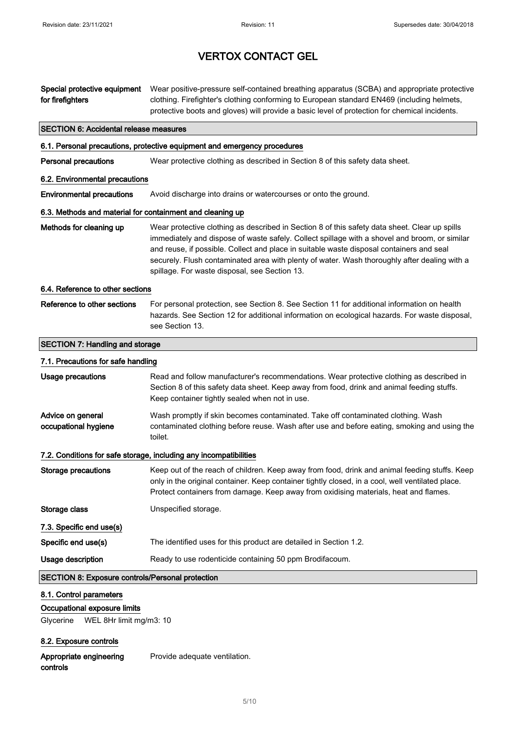| Special protective equipment<br>for firefighters                                                | Wear positive-pressure self-contained breathing apparatus (SCBA) and appropriate protective<br>clothing. Firefighter's clothing conforming to European standard EN469 (including helmets,<br>protective boots and gloves) will provide a basic level of protection for chemical incidents.                                                                                                                                                  |
|-------------------------------------------------------------------------------------------------|---------------------------------------------------------------------------------------------------------------------------------------------------------------------------------------------------------------------------------------------------------------------------------------------------------------------------------------------------------------------------------------------------------------------------------------------|
| <b>SECTION 6: Accidental release measures</b>                                                   |                                                                                                                                                                                                                                                                                                                                                                                                                                             |
|                                                                                                 | 6.1. Personal precautions, protective equipment and emergency procedures                                                                                                                                                                                                                                                                                                                                                                    |
| <b>Personal precautions</b>                                                                     | Wear protective clothing as described in Section 8 of this safety data sheet.                                                                                                                                                                                                                                                                                                                                                               |
| 6.2. Environmental precautions                                                                  |                                                                                                                                                                                                                                                                                                                                                                                                                                             |
| <b>Environmental precautions</b>                                                                | Avoid discharge into drains or watercourses or onto the ground.                                                                                                                                                                                                                                                                                                                                                                             |
| 6.3. Methods and material for containment and cleaning up                                       |                                                                                                                                                                                                                                                                                                                                                                                                                                             |
| Methods for cleaning up                                                                         | Wear protective clothing as described in Section 8 of this safety data sheet. Clear up spills<br>immediately and dispose of waste safely. Collect spillage with a shovel and broom, or similar<br>and reuse, if possible. Collect and place in suitable waste disposal containers and seal<br>securely. Flush contaminated area with plenty of water. Wash thoroughly after dealing with a<br>spillage. For waste disposal, see Section 13. |
| 6.4. Reference to other sections                                                                |                                                                                                                                                                                                                                                                                                                                                                                                                                             |
| Reference to other sections                                                                     | For personal protection, see Section 8. See Section 11 for additional information on health<br>hazards. See Section 12 for additional information on ecological hazards. For waste disposal,<br>see Section 13.                                                                                                                                                                                                                             |
| <b>SECTION 7: Handling and storage</b>                                                          |                                                                                                                                                                                                                                                                                                                                                                                                                                             |
| 7.1. Precautions for safe handling                                                              |                                                                                                                                                                                                                                                                                                                                                                                                                                             |
| <b>Usage precautions</b>                                                                        | Read and follow manufacturer's recommendations. Wear protective clothing as described in<br>Section 8 of this safety data sheet. Keep away from food, drink and animal feeding stuffs.<br>Keep container tightly sealed when not in use.                                                                                                                                                                                                    |
| Advice on general<br>occupational hygiene                                                       | Wash promptly if skin becomes contaminated. Take off contaminated clothing. Wash<br>contaminated clothing before reuse. Wash after use and before eating, smoking and using the<br>toilet.                                                                                                                                                                                                                                                  |
|                                                                                                 | 7.2. Conditions for safe storage, including any incompatibilities                                                                                                                                                                                                                                                                                                                                                                           |
| Storage precautions                                                                             | Keep out of the reach of children. Keep away from food, drink and animal feeding stuffs. Keep<br>only in the original container. Keep container tightly closed, in a cool, well ventilated place.<br>Protect containers from damage. Keep away from oxidising materials, heat and flames.                                                                                                                                                   |
| Storage class                                                                                   | Unspecified storage.                                                                                                                                                                                                                                                                                                                                                                                                                        |
| 7.3. Specific end use(s)                                                                        |                                                                                                                                                                                                                                                                                                                                                                                                                                             |
| Specific end use(s)                                                                             | The identified uses for this product are detailed in Section 1.2.                                                                                                                                                                                                                                                                                                                                                                           |
| Usage description                                                                               | Ready to use rodenticide containing 50 ppm Brodifacoum.                                                                                                                                                                                                                                                                                                                                                                                     |
| <b>SECTION 8: Exposure controls/Personal protection</b>                                         |                                                                                                                                                                                                                                                                                                                                                                                                                                             |
| 8.1. Control parameters<br>Occupational exposure limits<br>Glycerine<br>WEL 8Hr limit mg/m3: 10 |                                                                                                                                                                                                                                                                                                                                                                                                                                             |

## 8.2. Exposure controls

Appropriate engineering controls

Provide adequate ventilation.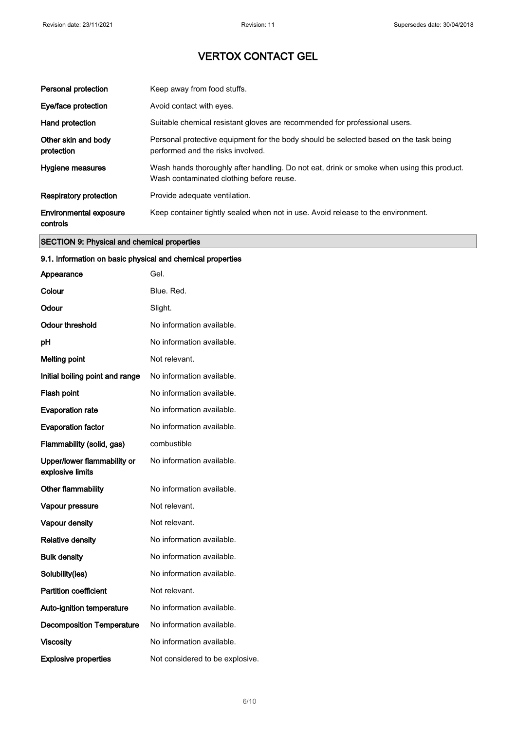| Personal protection                       | Keep away from food stuffs.                                                                                                           |
|-------------------------------------------|---------------------------------------------------------------------------------------------------------------------------------------|
| Eye/face protection                       | Avoid contact with eyes.                                                                                                              |
| Hand protection                           | Suitable chemical resistant gloves are recommended for professional users.                                                            |
| Other skin and body<br>protection         | Personal protective equipment for the body should be selected based on the task being<br>performed and the risks involved.            |
| Hygiene measures                          | Wash hands thoroughly after handling. Do not eat, drink or smoke when using this product.<br>Wash contaminated clothing before reuse. |
| <b>Respiratory protection</b>             | Provide adequate ventilation.                                                                                                         |
| <b>Environmental exposure</b><br>controls | Keep container tightly sealed when not in use. Avoid release to the environment.                                                      |

## SECTION 9: Physical and chemical properties

## 9.1. Information on basic physical and chemical properties

| Appearance                                      | Gel.                            |
|-------------------------------------------------|---------------------------------|
| Colour                                          | Blue, Red.                      |
| Odour                                           | Slight.                         |
| Odour threshold                                 | No information available.       |
| pH                                              | No information available.       |
| <b>Melting point</b>                            | Not relevant.                   |
| Initial boiling point and range                 | No information available.       |
| Flash point                                     | No information available.       |
| <b>Evaporation rate</b>                         | No information available.       |
| <b>Evaporation factor</b>                       | No information available.       |
| Flammability (solid, gas)                       | combustible                     |
| Upper/lower flammability or<br>explosive limits | No information available.       |
| Other flammability                              | No information available.       |
| Vapour pressure                                 | Not relevant.                   |
| <b>Vapour density</b>                           | Not relevant.                   |
| <b>Relative density</b>                         | No information available.       |
| <b>Bulk density</b>                             | No information available.       |
| Solubility(ies)                                 | No information available.       |
| <b>Partition coefficient</b>                    | Not relevant.                   |
| Auto-ignition temperature                       | No information available.       |
| <b>Decomposition Temperature</b>                | No information available.       |
| <b>Viscosity</b>                                | No information available.       |
| <b>Explosive properties</b>                     | Not considered to be explosive. |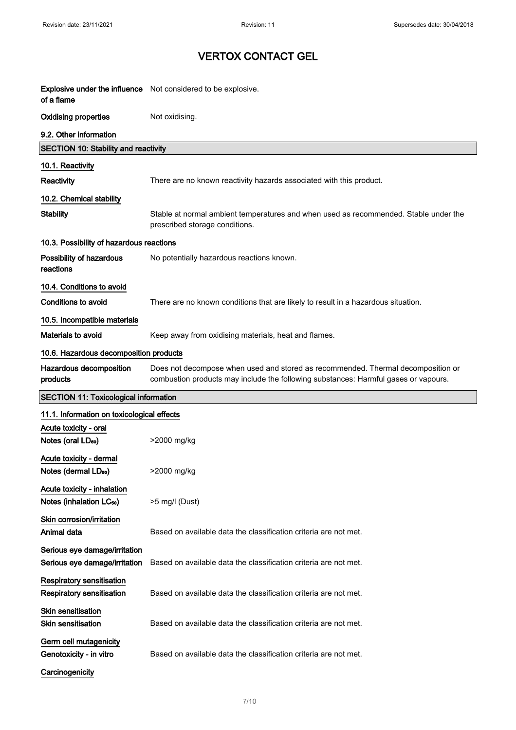| of a flame                                                           | Explosive under the influence Not considered to be explosive.                                                                                                           |  |
|----------------------------------------------------------------------|-------------------------------------------------------------------------------------------------------------------------------------------------------------------------|--|
| <b>Oxidising properties</b>                                          | Not oxidising.                                                                                                                                                          |  |
| 9.2. Other information                                               |                                                                                                                                                                         |  |
| <b>SECTION 10: Stability and reactivity</b>                          |                                                                                                                                                                         |  |
| 10.1. Reactivity                                                     |                                                                                                                                                                         |  |
| Reactivity                                                           | There are no known reactivity hazards associated with this product.                                                                                                     |  |
| 10.2. Chemical stability                                             |                                                                                                                                                                         |  |
| <b>Stability</b>                                                     | Stable at normal ambient temperatures and when used as recommended. Stable under the<br>prescribed storage conditions.                                                  |  |
| 10.3. Possibility of hazardous reactions                             |                                                                                                                                                                         |  |
| Possibility of hazardous<br>reactions                                | No potentially hazardous reactions known.                                                                                                                               |  |
| 10.4. Conditions to avoid                                            |                                                                                                                                                                         |  |
| <b>Conditions to avoid</b>                                           | There are no known conditions that are likely to result in a hazardous situation.                                                                                       |  |
| 10.5. Incompatible materials                                         |                                                                                                                                                                         |  |
| <b>Materials to avoid</b>                                            | Keep away from oxidising materials, heat and flames.                                                                                                                    |  |
| 10.6. Hazardous decomposition products                               |                                                                                                                                                                         |  |
| Hazardous decomposition<br>products                                  | Does not decompose when used and stored as recommended. Thermal decomposition or<br>combustion products may include the following substances: Harmful gases or vapours. |  |
| <b>SECTION 11: Toxicological information</b>                         |                                                                                                                                                                         |  |
| 11.1. Information on toxicological effects                           |                                                                                                                                                                         |  |
| Acute toxicity - oral<br>Notes (oral LD <sub>50</sub> )              | >2000 mg/kg                                                                                                                                                             |  |
| Acute toxicity - dermal<br>Notes (dermal LD <sub>50</sub> )          | >2000 mg/kg                                                                                                                                                             |  |
| Acute toxicity - inhalation<br>Notes (inhalation LC <sub>50</sub> )  | >5 mg/l (Dust)                                                                                                                                                          |  |
| Skin corrosion/irritation<br>Animal data                             | Based on available data the classification criteria are not met.                                                                                                        |  |
| Serious eye damage/irritation<br>Serious eye damage/irritation       | Based on available data the classification criteria are not met.                                                                                                        |  |
| <b>Respiratory sensitisation</b><br><b>Respiratory sensitisation</b> | Based on available data the classification criteria are not met.                                                                                                        |  |
| Skin sensitisation<br>Skin sensitisation                             | Based on available data the classification criteria are not met.                                                                                                        |  |
| Germ cell mutagenicity<br>Genotoxicity - in vitro                    | Based on available data the classification criteria are not met.                                                                                                        |  |
| Carcinogenicity                                                      |                                                                                                                                                                         |  |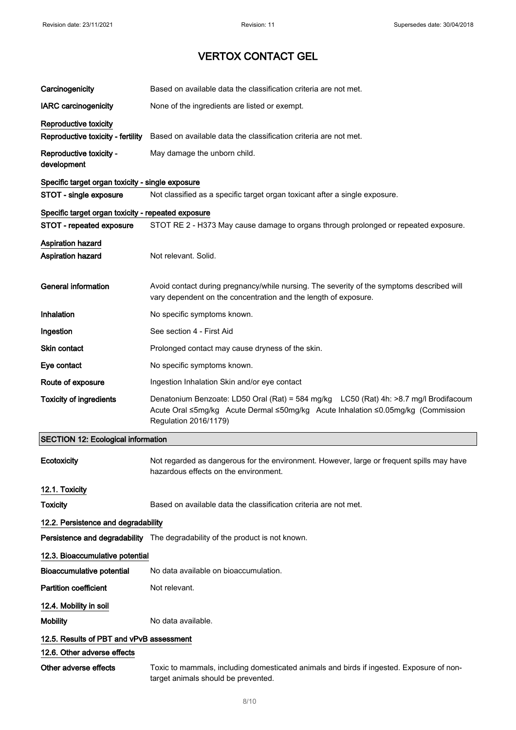| Carcinogenicity                                    | Based on available data the classification criteria are not met.                                                                                                                                   |
|----------------------------------------------------|----------------------------------------------------------------------------------------------------------------------------------------------------------------------------------------------------|
| <b>IARC</b> carcinogenicity                        | None of the ingredients are listed or exempt.                                                                                                                                                      |
| Reproductive toxicity                              |                                                                                                                                                                                                    |
| Reproductive toxicity - fertility                  | Based on available data the classification criteria are not met.                                                                                                                                   |
| Reproductive toxicity -<br>development             | May damage the unborn child.                                                                                                                                                                       |
| Specific target organ toxicity - single exposure   |                                                                                                                                                                                                    |
| STOT - single exposure                             | Not classified as a specific target organ toxicant after a single exposure.                                                                                                                        |
| Specific target organ toxicity - repeated exposure |                                                                                                                                                                                                    |
| STOT - repeated exposure                           | STOT RE 2 - H373 May cause damage to organs through prolonged or repeated exposure.                                                                                                                |
| <b>Aspiration hazard</b><br>Aspiration hazard      | Not relevant. Solid.                                                                                                                                                                               |
| <b>General information</b>                         | Avoid contact during pregnancy/while nursing. The severity of the symptoms described will<br>vary dependent on the concentration and the length of exposure.                                       |
| Inhalation                                         | No specific symptoms known.                                                                                                                                                                        |
| Ingestion                                          | See section 4 - First Aid                                                                                                                                                                          |
| Skin contact                                       | Prolonged contact may cause dryness of the skin.                                                                                                                                                   |
| Eye contact                                        | No specific symptoms known.                                                                                                                                                                        |
| Route of exposure                                  | Ingestion Inhalation Skin and/or eye contact                                                                                                                                                       |
| <b>Toxicity of ingredients</b>                     | Denatonium Benzoate: LD50 Oral (Rat) = 584 mg/kg LC50 (Rat) 4h: >8.7 mg/l Brodifacoum<br>Acute Oral ≤5mg/kg Acute Dermal ≤50mg/kg Acute Inhalation ≤0.05mg/kg (Commission<br>Regulation 2016/1179) |
| <b>SECTION 12: Ecological information</b>          |                                                                                                                                                                                                    |
| <b>Ecotoxicity</b>                                 | Not regarded as dangerous for the environment. However, large or frequent spills may have<br>hazardous effects on the environment.                                                                 |
| 12.1. Toxicity                                     |                                                                                                                                                                                                    |
| <b>Toxicity</b>                                    | Based on available data the classification criteria are not met.                                                                                                                                   |
| 12.2. Persistence and degradability                |                                                                                                                                                                                                    |
|                                                    | Persistence and degradability The degradability of the product is not known.                                                                                                                       |
| 12.3. Bioaccumulative potential                    |                                                                                                                                                                                                    |
| <b>Bioaccumulative potential</b>                   | No data available on bioaccumulation.                                                                                                                                                              |
| <b>Partition coefficient</b>                       | Not relevant.                                                                                                                                                                                      |
| 12.4. Mobility in soil                             |                                                                                                                                                                                                    |
| <b>Mobility</b>                                    | No data available.                                                                                                                                                                                 |
| 12.5. Results of PBT and vPvB assessment           |                                                                                                                                                                                                    |
| 12.6. Other adverse effects                        |                                                                                                                                                                                                    |
| Other adverse effects                              | Toxic to mammals, including domesticated animals and birds if ingested. Exposure of non-<br>target animals should be prevented.                                                                    |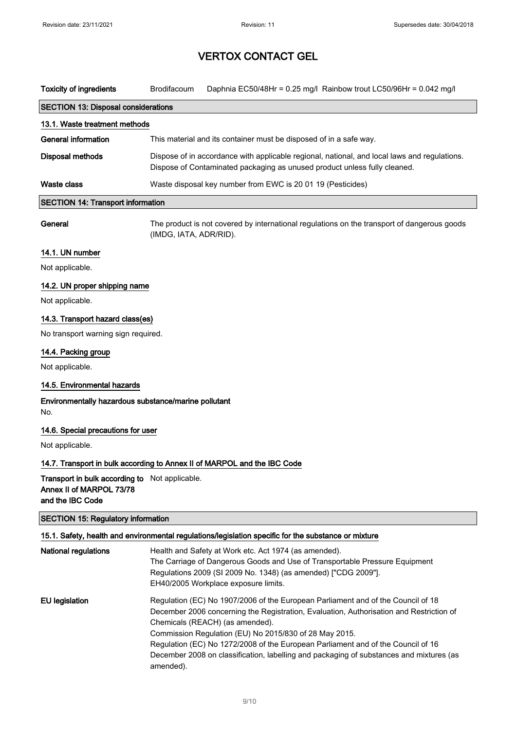| <b>Toxicity of ingredients</b>             | <b>Brodifacoum</b>                                                                                                                                                        | Daphnia EC50/48Hr = $0.25$ mg/l Rainbow trout LC50/96Hr = $0.042$ mg/l |  |
|--------------------------------------------|---------------------------------------------------------------------------------------------------------------------------------------------------------------------------|------------------------------------------------------------------------|--|
| <b>SECTION 13: Disposal considerations</b> |                                                                                                                                                                           |                                                                        |  |
| 13.1. Waste treatment methods              |                                                                                                                                                                           |                                                                        |  |
| General information                        | This material and its container must be disposed of in a safe way.                                                                                                        |                                                                        |  |
| <b>Disposal methods</b>                    | Dispose of in accordance with applicable regional, national, and local laws and regulations.<br>Dispose of Contaminated packaging as unused product unless fully cleaned. |                                                                        |  |
| Waste class                                | Waste disposal key number from EWC is 20 01 19 (Pesticides)                                                                                                               |                                                                        |  |
| <b>SECTION 14: Transport information</b>   |                                                                                                                                                                           |                                                                        |  |

General The product is not covered by international regulations on the transport of dangerous goods (IMDG, IATA, ADR/RID).

## 14.1. UN number

Not applicable.

## 14.2. UN proper shipping name

Not applicable.

#### 14.3. Transport hazard class(es)

No transport warning sign required.

#### 14.4. Packing group

Not applicable.

## 14.5. Environmental hazards

Environmentally hazardous substance/marine pollutant No.

#### 14.6. Special precautions for user

Not applicable.

### 14.7. Transport in bulk according to Annex II of MARPOL and the IBC Code

Transport in bulk according to Not applicable. Annex II of MARPOL 73/78 and the IBC Code

## SECTION 15: Regulatory information 15.1. Safety, health and environmental regulations/legislation specific for the substance or mixture National regulations **Health and Safety at Work etc. Act 1974** (as amended). The Carriage of Dangerous Goods and Use of Transportable Pressure Equipment Regulations 2009 (SI 2009 No. 1348) (as amended) ["CDG 2009"]. EH40/2005 Workplace exposure limits. EU legislation Regulation (EC) No 1907/2006 of the European Parliament and of the Council of 18 December 2006 concerning the Registration, Evaluation, Authorisation and Restriction of

Chemicals (REACH) (as amended). Commission Regulation (EU) No 2015/830 of 28 May 2015. Regulation (EC) No 1272/2008 of the European Parliament and of the Council of 16 December 2008 on classification, labelling and packaging of substances and mixtures (as amended).